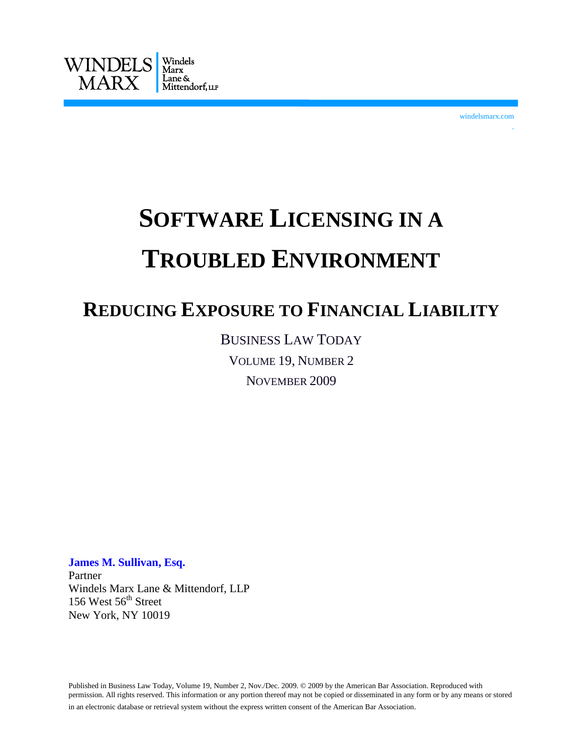

windelsmarx.com

.

## **SOFTWARE LICENSING IN A TROUBLED ENVIRONMENT**

## **REDUCING EXPOSURE TO FINANCIAL LIABILITY**

BUSINESS LAW TODAY VOLUME 19, NUMBER 2 NOVEMBER 2009

**James M. Sullivan, Esq.** Partner Windels Marx Lane & Mittendorf, LLP 156 West  $56<sup>th</sup>$  Street New York, NY 10019

Published in Business Law Today, Volume 19, Number 2, Nov./Dec. 2009. © 2009 by the American Bar Association. Reproduced with permission. All rights reserved. This information or any portion thereof may not be copied or disseminated in any form or by any means or stored in an electronic database or retrieval system without the express written consent of the American Bar Association. .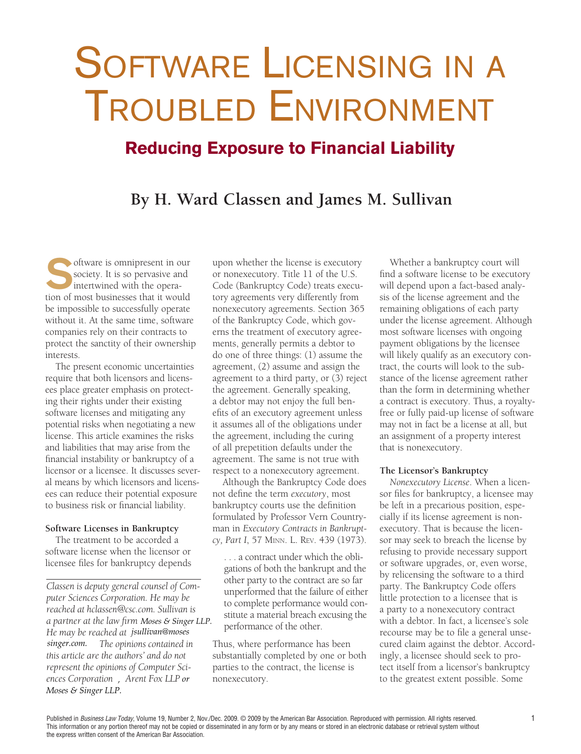# SOFTWARE LICENSING IN A Troubled Environment

## **Reducing Exposure to Financial Liability**

### **By H. Ward Classen and James M. Sullivan**

oftware is omnipresent in our society. It is so pervasive and intertwined with the operation of most businesses that it would be impossible to successfully operate without it. At the same time, software companies rely on their contracts to protect the sanctity of their ownership interests.

The present economic uncertainties require that both licensors and licensees place greater emphasis on protecting their rights under their existing software licenses and mitigating any potential risks when negotiating a new license. This article examines the risks and liabilities that may arise from the financial instability or bankruptcy of a licensor or a licensee. It discusses several means by which licensors and licensees can reduce their potential exposure to business risk or financial liability.

#### **Software Licenses in Bankruptcy**

The treatment to be accorded a software license when the licensor or licensee files for bankruptcy depends

*Classen is deputy general counsel of Computer Sciences Corporation. He may be reached at hclassen@csc.com. Sullivan is a partner at the law firm Moses & Singer LLP.* He may be reached at jsullivan@moses  $singer.com.$  The opinions contained in *this article are the authors' and do not represent the opinions of Computer Sciences Corporation, Arent Fox LLP or He may be reached at .jsullivan@moses*<br>*singer.com.* The opinions contained is<br>this article are the authors' and do not<br>represent the opinions of Computer Sci-<br>ences Corporation, Arent Fox LLP or<br>Moses & Singer LLP.

upon whether the license is executory or nonexecutory. Title 11 of the U.S. Code (Bankruptcy Code) treats executory agreements very differently from nonexecutory agreements. Section 365 of the Bankruptcy Code, which governs the treatment of executory agreements, generally permits a debtor to do one of three things: (1) assume the agreement, (2) assume and assign the agreement to a third party, or (3) reject the agreement. Generally speaking, a debtor may not enjoy the full benefits of an executory agreement unless it assumes all of the obligations under the agreement, including the curing of all prepetition defaults under the agreement. The same is not true with respect to a nonexecutory agreement.

Although the Bankruptcy Code does not define the term *executory*, most bankruptcy courts use the definition formulated by Professor Vern Countryman in *Executory Contracts in Bankruptcy, Part I*, 57 Minn. L. Rev. 439 (1973).

. . . a contract under which the obligations of both the bankrupt and the other party to the contract are so far unperformed that the failure of either to complete performance would constitute a material breach excusing the performance of the other.

Thus, where performance has been substantially completed by one or both parties to the contract, the license is nonexecutory.

Whether a bankruptcy court will find a software license to be executory will depend upon a fact-based analysis of the license agreement and the remaining obligations of each party under the license agreement. Although most software licenses with ongoing payment obligations by the licensee will likely qualify as an executory contract, the courts will look to the substance of the license agreement rather than the form in determining whether a contract is executory. Thus, a royaltyfree or fully paid-up license of software may not in fact be a license at all, but an assignment of a property interest that is nonexecutory.

#### **The Licensor's Bankruptcy**

*Nonexecutory License*. When a licensor files for bankruptcy, a licensee may be left in a precarious position, especially if its license agreement is nonexecutory. That is because the licensor may seek to breach the license by refusing to provide necessary support or software upgrades, or, even worse, by relicensing the software to a third party. The Bankruptcy Code offers little protection to a licensee that is a party to a nonexecutory contract with a debtor. In fact, a licensee's sole recourse may be to file a general unsecured claim against the debtor. Accordingly, a licensee should seek to protect itself from a licensor's bankruptcy to the greatest extent possible. Some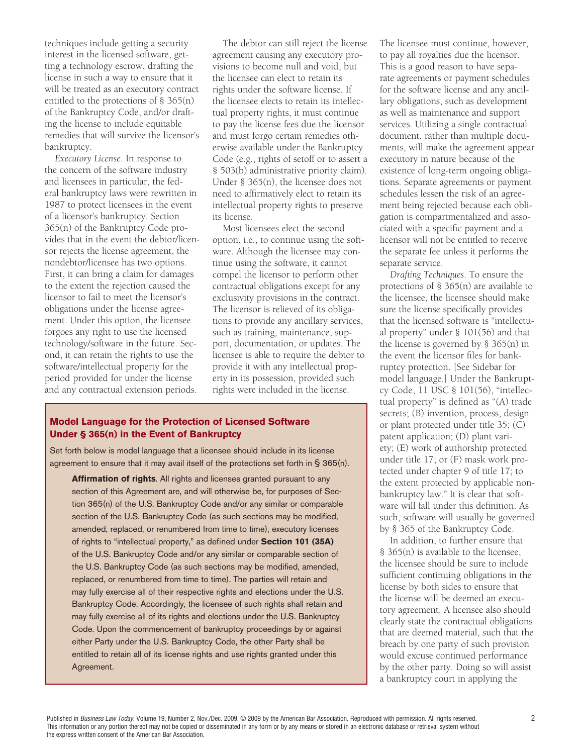techniques include getting a security interest in the licensed software, getting a technology escrow, drafting the license in such a way to ensure that it will be treated as an executory contract entitled to the protections of § 365(n) of the Bankruptcy Code, and/or drafting the license to include equitable remedies that will survive the licensor's bankruptcy.

*Executory License*. In response to the concern of the software industry and licensees in particular, the federal bankruptcy laws were rewritten in 1987 to protect licensees in the event of a licensor's bankruptcy. Section 365(n) of the Bankruptcy Code provides that in the event the debtor/licensor rejects the license agreement, the nondebtor/licensee has two options. First, it can bring a claim for damages to the extent the rejection caused the licensor to fail to meet the licensor's obligations under the license agreement. Under this option, the licensee forgoes any right to use the licensed technology/software in the future. Second, it can retain the rights to use the software/intellectual property for the period provided for under the license and any contractual extension periods.

The debtor can still reject the license agreement causing any executory provisions to become null and void, but the licensee can elect to retain its rights under the software license. If the licensee elects to retain its intellectual property rights, it must continue to pay the license fees due the licensor and must forgo certain remedies otherwise available under the Bankruptcy Code (e.g., rights of setoff or to assert a § 503(b) administrative priority claim). Under § 365(n), the licensee does not need to affirmatively elect to retain its intellectual property rights to preserve its license.

Most licensees elect the second option, i.e., to continue using the software. Although the licensee may continue using the software, it cannot compel the licensor to perform other contractual obligations except for any exclusivity provisions in the contract. The licensor is relieved of its obligations to provide any ancillary services, such as training, maintenance, support, documentation, or updates. The licensee is able to require the debtor to provide it with any intellectual property in its possession, provided such rights were included in the license.

#### **Model Language for the Protection of Licensed Software Under § 365(n) in the Event of Bankruptcy**

Set forth below is model language that a licensee should include in its license agreement to ensure that it may avail itself of the protections set forth in § 365(n).

**Affirmation of rights**. All rights and licenses granted pursuant to any section of this Agreement are, and will otherwise be, for purposes of Section 365(n) of the U.S. Bankruptcy Code and/or any similar or comparable section of the U.S. Bankruptcy Code (as such sections may be modified, amended, replaced, or renumbered from time to time), executory licenses of rights to "intellectual property," as defined under **Section 101 (35A)** of the U.S. Bankruptcy Code and/or any similar or comparable section of the U.S. Bankruptcy Code (as such sections may be modified, amended, replaced, or renumbered from time to time). The parties will retain and may fully exercise all of their respective rights and elections under the U.S. Bankruptcy Code. Accordingly, the licensee of such rights shall retain and may fully exercise all of its rights and elections under the U.S. Bankruptcy Code. Upon the commencement of bankruptcy proceedings by or against either Party under the U.S. Bankruptcy Code, the other Party shall be entitled to retain all of its license rights and use rights granted under this Agreement.

The licensee must continue, however, to pay all royalties due the licensor. This is a good reason to have separate agreements or payment schedules for the software license and any ancillary obligations, such as development as well as maintenance and support services. Utilizing a single contractual document, rather than multiple documents, will make the agreement appear executory in nature because of the existence of long-term ongoing obligations. Separate agreements or payment schedules lessen the risk of an agreement being rejected because each obligation is compartmentalized and associated with a specific payment and a licensor will not be entitled to receive the separate fee unless it performs the separate service.

*Drafting Techniques*. To ensure the protections of § 365(n) are available to the licensee, the licensee should make sure the license specifically provides that the licensed software is "intellectual property" under § 101(56) and that the license is governed by § 365(n) in the event the licensor files for bankruptcy protection. [See Sidebar for model language.] Under the Bankruptcy Code, 11 USC § 101(56), "intellectual property" is defined as "(A) trade secrets; (B) invention, process, design or plant protected under title 35; (C) patent application; (D) plant variety; (E) work of authorship protected under title 17; or (F) mask work protected under chapter 9 of title 17; to the extent protected by applicable nonbankruptcy law." It is clear that software will fall under this definition. As such, software will usually be governed by § 365 of the Bankruptcy Code.

In addition, to further ensure that § 365(n) is available to the licensee, the licensee should be sure to include sufficient continuing obligations in the license by both sides to ensure that the license will be deemed an executory agreement. A licensee also should clearly state the contractual obligations that are deemed material, such that the breach by one party of such provision would excuse continued performance by the other party. Doing so will assist a bankruptcy court in applying the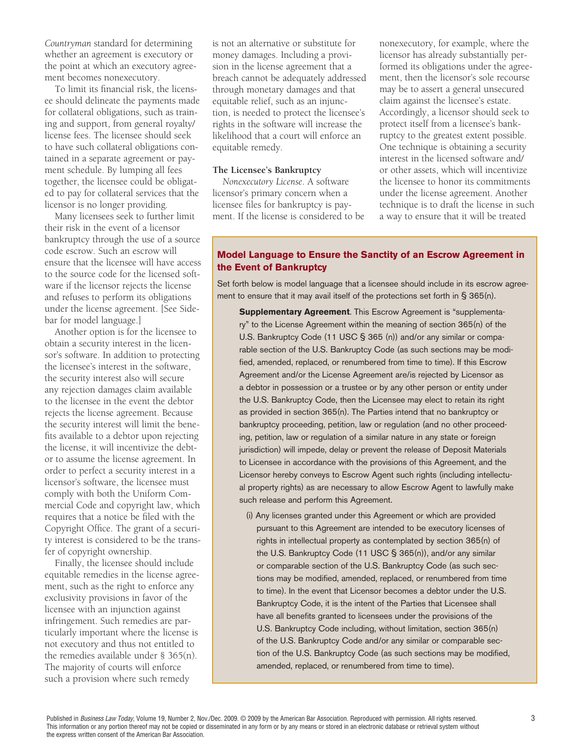*Countryman* standard for determining whether an agreement is executory or the point at which an executory agreement becomes nonexecutory.

To limit its financial risk, the licensee should delineate the payments made for collateral obligations, such as training and support, from general royalty/ license fees. The licensee should seek to have such collateral obligations contained in a separate agreement or payment schedule. By lumping all fees together, the licensee could be obligated to pay for collateral services that the licensor is no longer providing.

Many licensees seek to further limit their risk in the event of a licensor bankruptcy through the use of a source code escrow. Such an escrow will ensure that the licensee will have access to the source code for the licensed software if the licensor rejects the license and refuses to perform its obligations under the license agreement. [See Sidebar for model language.]

Another option is for the licensee to obtain a security interest in the licensor's software. In addition to protecting the licensee's interest in the software, the security interest also will secure any rejection damages claim available to the licensee in the event the debtor rejects the license agreement. Because the security interest will limit the benefits available to a debtor upon rejecting the license, it will incentivize the debtor to assume the license agreement. In order to perfect a security interest in a licensor's software, the licensee must comply with both the Uniform Commercial Code and copyright law, which requires that a notice be filed with the Copyright Office. The grant of a security interest is considered to be the transfer of copyright ownership.

Finally, the licensee should include equitable remedies in the license agreement, such as the right to enforce any exclusivity provisions in favor of the licensee with an injunction against infringement. Such remedies are particularly important where the license is not executory and thus not entitled to the remedies available under § 365(n). The majority of courts will enforce such a provision where such remedy

is not an alternative or substitute for money damages. Including a provision in the license agreement that a breach cannot be adequately addressed through monetary damages and that equitable relief, such as an injunction, is needed to protect the licensee's rights in the software will increase the likelihood that a court will enforce an equitable remedy.

#### **The Licensee's Bankruptcy**

*Nonexecutory License*. A software licensor's primary concern when a licensee files for bankruptcy is payment. If the license is considered to be nonexecutory, for example, where the licensor has already substantially performed its obligations under the agreement, then the licensor's sole recourse may be to assert a general unsecured claim against the licensee's estate. Accordingly, a licensor should seek to protect itself from a licensee's bankruptcy to the greatest extent possible. One technique is obtaining a security interest in the licensed software and/ or other assets, which will incentivize the licensee to honor its commitments under the license agreement. Another technique is to draft the license in such a way to ensure that it will be treated

#### **Model Language to Ensure the Sanctity of an Escrow Agreement in the Event of Bankruptcy**

Set forth below is model language that a licensee should include in its escrow agreement to ensure that it may avail itself of the protections set forth in § 365(n).

**Supplementary Agreement**. This Escrow Agreement is "supplementary" to the License Agreement within the meaning of section 365(n) of the U.S. Bankruptcy Code (11 USC § 365 (n)) and/or any similar or comparable section of the U.S. Bankruptcy Code (as such sections may be modified, amended, replaced, or renumbered from time to time). If this Escrow Agreement and/or the License Agreement are/is rejected by Licensor as a debtor in possession or a trustee or by any other person or entity under the U.S. Bankruptcy Code, then the Licensee may elect to retain its right as provided in section 365(n). The Parties intend that no bankruptcy or bankruptcy proceeding, petition, law or regulation (and no other proceeding, petition, law or regulation of a similar nature in any state or foreign jurisdiction) will impede, delay or prevent the release of Deposit Materials to Licensee in accordance with the provisions of this Agreement, and the Licensor hereby conveys to Escrow Agent such rights (including intellectual property rights) as are necessary to allow Escrow Agent to lawfully make such release and perform this Agreement.

(i) Any licenses granted under this Agreement or which are provided pursuant to this Agreement are intended to be executory licenses of rights in intellectual property as contemplated by section 365(n) of the U.S. Bankruptcy Code (11 USC § 365(n)), and/or any similar or comparable section of the U.S. Bankruptcy Code (as such sections may be modified, amended, replaced, or renumbered from time to time). In the event that Licensor becomes a debtor under the U.S. Bankruptcy Code, it is the intent of the Parties that Licensee shall have all benefits granted to licensees under the provisions of the U.S. Bankruptcy Code including, without limitation, section 365(n) of the U.S. Bankruptcy Code and/or any similar or comparable section of the U.S. Bankruptcy Code (as such sections may be modified, amended, replaced, or renumbered from time to time).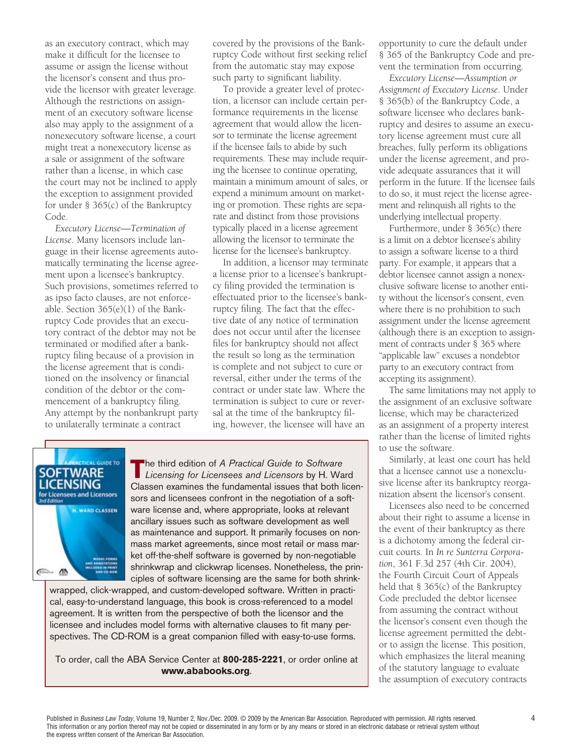as an executory contract, which may make it difficult for the licensee to assume or assign the license without the licensor's consent and thus provide the licensor with greater leverage. Although the restrictions on assignment of an executory software license also may apply to the assignment of a nonexecutory software license, a court might treat a nonexecutory license as a sale or assignment of the software rather than a license, in which case the court may not be inclined to apply the exception to assignment provided for under § 365(c) of the Bankruptcy Code.

*Executory License—Termination of License*. Many licensors include language in their license agreements automatically terminating the license agreement upon a licensee's bankruptcy. Such provisions, sometimes referred to as ipso facto clauses, are not enforceable. Section 365(e)(1) of the Bankruptcy Code provides that an executory contract of the debtor may not be terminated or modified after a bankruptcy filing because of a provision in the license agreement that is conditioned on the insolvency or financial condition of the debtor or the commencement of a bankruptcy filing. Any attempt by the nonbankrupt party to unilaterally terminate a contract

covered by the provisions of the Bankruptcy Code without first seeking relief from the automatic stay may expose such party to significant liability.

To provide a greater level of protection, a licensor can include certain performance requirements in the license agreement that would allow the licensor to terminate the license agreement if the licensee fails to abide by such requirements. These may include requiring the licensee to continue operating, maintain a minimum amount of sales, or expend a minimum amount on marketing or promotion. These rights are separate and distinct from those provisions typically placed in a license agreement allowing the licensor to terminate the license for the licensee's bankruptcy.

In addition, a licensor may terminate a license prior to a licensee's bankruptcy filing provided the termination is effectuated prior to the licensee's bankruptcy filing. The fact that the effective date of any notice of termination does not occur until after the licensee files for bankruptcy should not affect the result so long as the termination is complete and not subject to cure or reversal, either under the terms of the contract or under state law. Where the termination is subject to cure or reversal at the time of the bankruptcy filing, however, the licensee will have an



**T**he third edition of *A Practical Guide to Software Licensing for Licensees and Licensors* by H. Ward Classen examines the fundamental issues that both licensors and licensees confront in the negotiation of a software license and, where appropriate, looks at relevant ancillary issues such as software development as well as maintenance and support. It primarily focuses on nonmass market agreements, since most retail or mass market off-the-shelf software is governed by non-negotiable shrinkwrap and clickwrap licenses. Nonetheless, the principles of software licensing are the same for both shrink-

wrapped, click-wrapped, and custom-developed software. Written in practical, easy-to-understand language, this book is cross-referenced to a model agreement. It is written from the perspective of both the licensor and the licensee and includes model forms with alternative clauses to fit many perspectives. The CD-ROM is a great companion filled with easy-to-use forms.

To order, call the ABA Service Center at **800-285-2221**, or order online at **www.ababooks.org**.

opportunity to cure the default under § 365 of the Bankruptcy Code and prevent the termination from occurring.

*Executory License—Assumption or Assignment of Executory License*. Under § 365(b) of the Bankruptcy Code, a software licensee who declares bankruptcy and desires to assume an executory license agreement must cure all breaches, fully perform its obligations under the license agreement, and provide adequate assurances that it will perform in the future. If the licensee fails to do so, it must reject the license agreement and relinquish all rights to the underlying intellectual property.

Furthermore, under § 365(c) there is a limit on a debtor licensee's ability to assign a software license to a third party. For example, it appears that a debtor licensee cannot assign a nonexclusive software license to another entity without the licensor's consent, even where there is no prohibition to such assignment under the license agreement (although there is an exception to assignment of contracts under § 365 where "applicable law" excuses a nondebtor party to an executory contract from accepting its assignment).

The same limitations may not apply to the assignment of an exclusive software license, which may be characterized as an assignment of a property interest rather than the license of limited rights to use the software.

Similarly, at least one court has held that a licensee cannot use a nonexclusive license after its bankruptcy reorganization absent the licensor's consent.

Licensees also need to be concerned about their right to assume a license in the event of their bankruptcy as there is a dichotomy among the federal circuit courts. In *In re Sunterra Corporation*, 361 F.3d 257 (4th Cir. 2004), the Fourth Circuit Court of Appeals held that § 365(c) of the Bankruptcy Code precluded the debtor licensee from assuming the contract without the licensor's consent even though the license agreement permitted the debtor to assign the license. This position, which emphasizes the literal meaning of the statutory language to evaluate the assumption of executory contracts